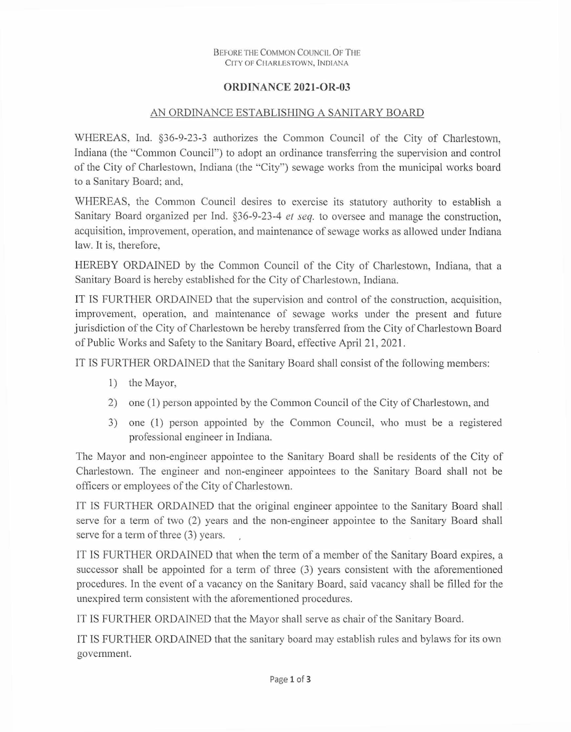## BEFORE THE COMMON COUNCIL OF THE CITY OF CHARLESTOWN, INDIANA

## ORDINANCE 2021-OR-03

## AN ORDINANCE ESTABLISHING A SANITARY BOARD

WHEREAS, Ind. §36-9-23-3 authorizes the Common Council of the City of Charlestown, Indiana (the "Common Council") to adopt an ordinance transferring the supervision and control of the City of Charlestown, Indiana (the "City") sewage works from the municipal works board to a Sanitary Board; and,

WHEREAS, the Common Council desires to exercise its statutory authority to establish a Sanitary Board organized per Ind. §36-9-23-4 et seq. to oversee and manage the construction, acquisition, improvement, operation, and maintenance of sewage works as allowed under Indiana law. It is, therefore.

HEREBY ORDAINED by the Common Council of the City of Charlestown, Indiana, that a Sanitary Board is hereby established for the City of Charlestown, Indiana.

IT IS FURTHER ORDAINED that the supervision and control of the construction, acquisition, improvement, operation, and maintenance of sewage works under the present and future jurisdiction of the City of Charlestown be hereby transferred from the City of Charlestown Board of Public Works and Safety to the Sanitary Board, effective April 21, 2021.

IT IS FURTHER ORDAINED that the Sanitary Board shall consist of the following members:

- 1) the Mayor,
- 2) one (1) person appointed by the Common Council of the City of Charlestown, and
- 3) one (1) person appointed by the Common Council, who must be a registered professional engineer in Indiana.

The Mayor and non-engineer appointee to the Sanitary Board shall be residents of the City of Charlestown. The engineer and non-engineer appointees to the Sanitary Board shall not be officers or employees of the City of Charlestown.

IT IS FURTHER ORDAINED that the original engineer appointee to the Sanitary Board shall serve for a term of two (2) years and the non-engineer appointee to the Sanitary Board shall serve for a term of three (3) years.

IT IS FURTHER ORDAINED that when the term of a member of the Sanitary Board expires, a successor shall be appointed for a term of three (3) years consistent with the aforementioned procedures. In the event of a vacancy on the Sanitary Board, said vacancy shall be filled for the unexpired term consistent with the aforementioned procedures.

IT IS FURTHER ORDAINED that the Mayor shall serve as chair of the Sanitary Board.

IT IS FURTHER ORDAINED that the sanitary board may establish rules and bylaws for its own government.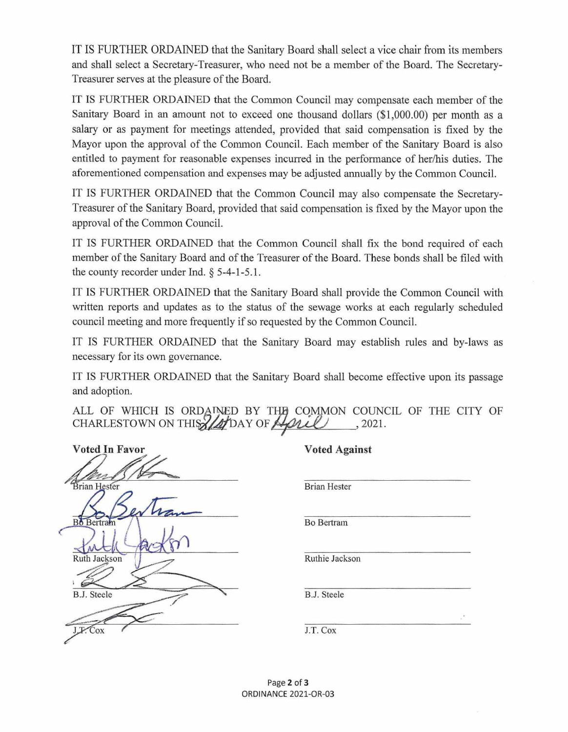IT IS FURTHER ORDAINED that the Sanitary Board shall select a vice chair from its members and shall select a Secretary-Treasurer, who need not be a member of the Board. The Secretary-Treasurer serves at the pleasure of the Board.

IT IS FURTHER ORDAINED that the Common Council may compensate each member of the Sanitary Board in an amount not to exceed one thousand dollars (\$1,000.00) per month as a salary or as payment for meetings attended, provided that said compensation is fixed by the Mayor upon the approval of the Common Council. Each member of the Sanitary Board is also entitled to payment for reasonable expenses incurred in the performance of her/his duties. The aforementioned compensation and expenses may be adjusted annually by the Common Council.

IT IS FURTHER ORDAINED that the Common Council may also compensate the Secretary-Treasurer of the Sanitary Board, provided that said compensation is fixed by the Mayor upon the approval of the Common Council.

IT IS FURTHER ORDAINED that the Common Council shall fix the bond required of each member of the Sanitary Board and of the Treasurer of the Board. These bonds shall be filed with the county recorder under Ind. § 5-4-1-5.1.

IT IS FURTHER ORDAINED that the Sanitary Board shall provide the Common Council with written reports and updates as to the status of the sewage works at each regularly scheduled council meeting and more frequently if so requested by the Common Council.

IT IS FURTHER ORDAINED that the Sanitary Board may establish rules and by-laws as necessary for its own governance.

IT IS FURTHER ORDAINED that the Sanitary Board shall become effective upon its passage and adoption.

ALL OF WHICH IS ORDAINED BY THE COMMON COUNCIL OF THE CITY OF CHARLESTOWN ON THIS ZADAY OF April , 2021.

| Voted In Favor      |  |
|---------------------|--|
|                     |  |
| <b>Brian Hester</b> |  |
| $\ell \alpha$       |  |
| <b>Bo</b> Bertram   |  |
|                     |  |
| <b>Ruth Jackson</b> |  |
|                     |  |
| <b>B.J.</b> Steele  |  |
|                     |  |
| Cox<br>JJ           |  |

| <b>Voted Against</b> |  |
|----------------------|--|
| <b>Brian Hester</b>  |  |

**Bo Bertram** 

Ruthie Jackson

**B.J.** Steele

J.T. Cox

Page 2 of 3 ORDINANCE 2021-OR-03